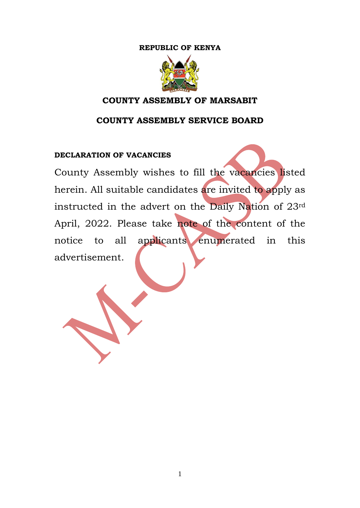## **REPUBLIC OF KENYA**



## **COUNTY ASSEMBLY OF MARSABIT**

## **COUNTY ASSEMBLY SERVICE BOARD**

#### **DECLARATION OF VACANCIES**

County Assembly wishes to fill the vacancies listed herein. All suitable candidates are invited to apply as instructed in the advert on the Daily Nation of 23rd April, 2022. Please take note of the content of the notice to all applicants enumerated in this advertisement.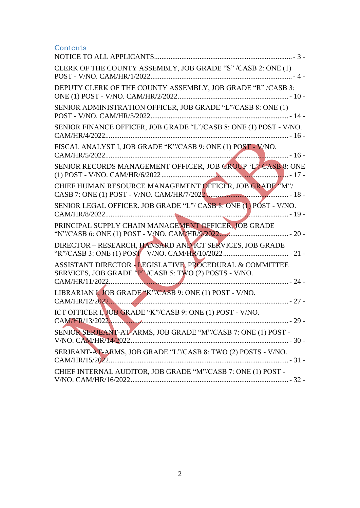## **Contents**

| CLERK OF THE COUNTY ASSEMBLY, JOB GRADE "S" /CASB 2: ONE (1)<br>POST - V/NO. CAM/HR/1/2022.                         |
|---------------------------------------------------------------------------------------------------------------------|
| DEPUTY CLERK OF THE COUNTY ASSEMBLY, JOB GRADE "R" /CASB 3:                                                         |
| SENIOR ADMINISTRATION OFFICER, JOB GRADE "L"/CASB 8: ONE (1)                                                        |
| SENIOR FINANCE OFFICER, JOB GRADE "L"/CASB 8: ONE (1) POST - V/NO.<br>CAM/HR/4/2022                                 |
| FISCAL ANALYST I, JOB GRADE "K"/CASB 9: ONE (1) POST - V/NO.<br>CAM/HR/5/2022.                                      |
| SENIOR RECORDS MANAGEMENT OFFICER, JOB GROUP 'L'/ CASB 8: ONE                                                       |
| CHIEF HUMAN RESOURCE MANAGEMENT OFFICER, JOB GRADE "M"/                                                             |
| SENIOR LEGAL OFFICER, JOB GRADE "L"/ CASB 8: ONE (1) POST - V/NO.                                                   |
| PRINCIPAL SUPPLY CHAIN MANAGEMENT OFFICER, JOB GRADE                                                                |
| DIRECTOR - RESEARCH, HANSARD AND ICT SERVICES, JOB GRADE                                                            |
| ASSISTANT DIRECTOR - LEGISLATIVE, PROCEDURAL & COMMITTEE<br>SERVICES, JOB GRADE "P" / CASB 5: TWO (2) POSTS - V/NO. |
| LIBRARIAN I, JOB GRADE "K"/CASB 9: ONE (1) POST - V/NO.                                                             |
| ICT OFFICER I, JOB GRADE "K"/CASB 9: ONE (1) POST - V/NO.<br>CAM/HR/13/2022.<br>$-29-$                              |
| SENIOR SERJEANT-AT-ARMS, JOB GRADE "M"/CASB 7: ONE (1) POST -<br>V/NO. CAM/HR/14/2022                               |
| SERJEANT-AT-ARMS, JOB GRADE "L"/CASB 8: TWO (2) POSTS - V/NO.                                                       |
| CHIEF INTERNAL AUDITOR, JOB GRADE "M"/CASB 7: ONE (1) POST -                                                        |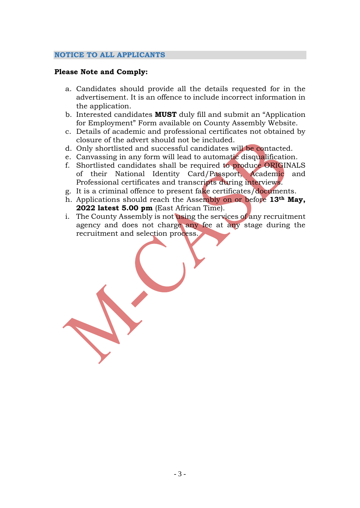#### <span id="page-2-0"></span>**NOTICE TO ALL APPLICANTS**

#### **Please Note and Comply:**

- a. Candidates should provide all the details requested for in the advertisement. It is an offence to include incorrect information in the application.
- b. Interested candidates **MUST** duly fill and submit an "Application for Employment" Form available on County Assembly Website.
- c. Details of academic and professional certificates not obtained by closure of the advert should not be included.
- d. Only shortlisted and successful candidates will be contacted.
- e. Canvassing in any form will lead to automatic disqualification.
- f. Shortlisted candidates shall be required to produce ORIGINALS of their National Identity Card/Passport, Academic and Professional certificates and transcripts during interviews.
- g. It is a criminal offence to present fake certificates/documents.
- h. Applications should reach the Assembly on or before **13th May, 2022 latest 5.00 pm** (East African Time).
- i. The County Assembly is not using the services of any recruitment agency and does not charge any fee at any stage during the recruitment and selection process.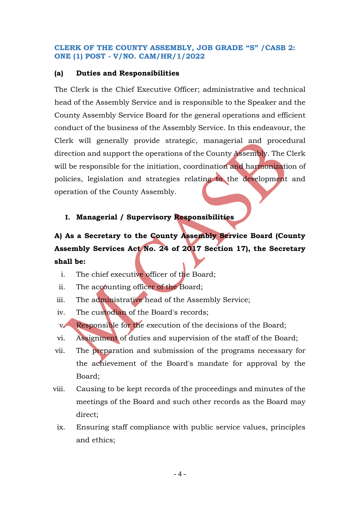### <span id="page-3-0"></span>**CLERK OF THE COUNTY ASSEMBLY, JOB GRADE "S" /CASB 2: ONE (1) POST - V/NO. CAM/HR/1/2022**

### **(a) Duties and Responsibilities**

The Clerk is the Chief Executive Officer; administrative and technical head of the Assembly Service and is responsible to the Speaker and the County Assembly Service Board for the general operations and efficient conduct of the business of the Assembly Service. In this endeavour, the Clerk will generally provide strategic, managerial and procedural direction and support the operations of the County Assembly. The Clerk will be responsible for the initiation, coordination and harmonization of policies, legislation and strategies relating to the development and operation of the County Assembly.

## **I. Managerial / Supervisory Responsibilities**

# **A) As a Secretary to the County Assembly Service Board (County Assembly Services Act No. 24 of 2017 Section 17), the Secretary shall be:**

- i. The chief executive officer of the Board;
- ii. The accounting officer of the Board;
- iii. The administrative head of the Assembly Service;
- iv. The custodian of the Board's records;
- v. Responsible for the execution of the decisions of the Board;
- vi. Assignment of duties and supervision of the staff of the Board;
- vii. The preparation and submission of the programs necessary for the achievement of the Board's mandate for approval by the Board;
- viii. Causing to be kept records of the proceedings and minutes of the meetings of the Board and such other records as the Board may direct;
	- ix. Ensuring staff compliance with public service values, principles and ethics;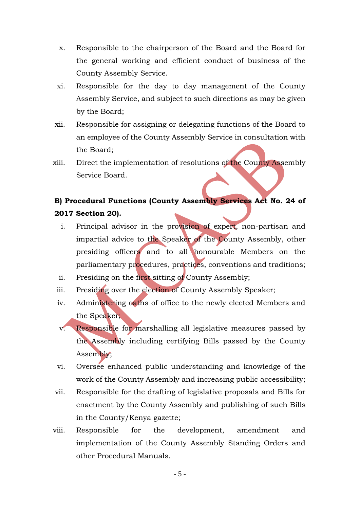- x. Responsible to the chairperson of the Board and the Board for the general working and efficient conduct of business of the County Assembly Service.
- xi. Responsible for the day to day management of the County Assembly Service, and subject to such directions as may be given by the Board;
- xii. Responsible for assigning or delegating functions of the Board to an employee of the County Assembly Service in consultation with the Board;
- xiii. Direct the implementation of resolutions of the County Assembly Service Board.

# **B) Procedural Functions (County Assembly Services Act No. 24 of 2017 Section 20).**

- i. Principal advisor in the provision of expert, non-partisan and impartial advice to the Speaker of the County Assembly, other presiding officers and to all honourable Members on the parliamentary procedures, practices, conventions and traditions;
- ii. Presiding on the first sitting of County Assembly;
- iii. Presiding over the election of County Assembly Speaker;
- iv. Administering oaths of office to the newly elected Members and the Speaker;
- v. Responsible for marshalling all legislative measures passed by the Assembly including certifying Bills passed by the County Assembly;
- vi. Oversee enhanced public understanding and knowledge of the work of the County Assembly and increasing public accessibility;
- vii. Responsible for the drafting of legislative proposals and Bills for enactment by the County Assembly and publishing of such Bills in the County/Kenya gazette;
- viii. Responsible for the development, amendment and implementation of the County Assembly Standing Orders and other Procedural Manuals.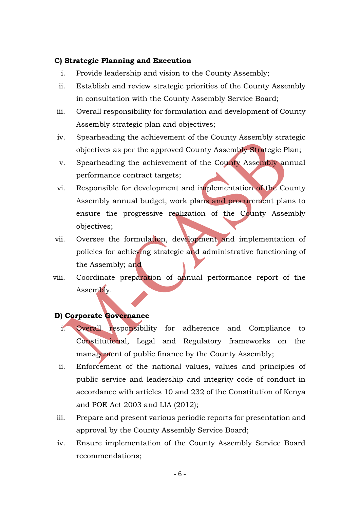#### **C) Strategic Planning and Execution**

- i. Provide leadership and vision to the County Assembly;
- ii. Establish and review strategic priorities of the County Assembly in consultation with the County Assembly Service Board;
- iii. Overall responsibility for formulation and development of County Assembly strategic plan and objectives;
- iv. Spearheading the achievement of the County Assembly strategic objectives as per the approved County Assembly Strategic Plan;
- v. Spearheading the achievement of the County Assembly annual performance contract targets;
- vi. Responsible for development and implementation of the County Assembly annual budget, work plans and procurement plans to ensure the progressive realization of the County Assembly objectives;
- vii. Oversee the formulation, development and implementation of policies for achieving strategic and administrative functioning of the Assembly; and
- viii. Coordinate preparation of annual performance report of the Assembly.

## **D) Corporate Governance**

- i. Overall responsibility for adherence and Compliance to Constitutional, Legal and Regulatory frameworks on the management of public finance by the County Assembly;
- ii. Enforcement of the national values, values and principles of public service and leadership and integrity code of conduct in accordance with articles 10 and 232 of the Constitution of Kenya and POE Act 2003 and LIA (2012);
- iii. Prepare and present various periodic reports for presentation and approval by the County Assembly Service Board;
- iv. Ensure implementation of the County Assembly Service Board recommendations;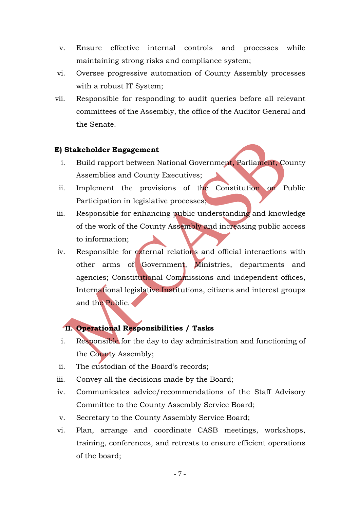- v. Ensure effective internal controls and processes while maintaining strong risks and compliance system;
- vi. Oversee progressive automation of County Assembly processes with a robust IT System;
- vii. Responsible for responding to audit queries before all relevant committees of the Assembly, the office of the Auditor General and the Senate.

#### **E) Stakeholder Engagement**

- i. Build rapport between National Government, Parliament, County Assemblies and County Executives;
- ii. Implement the provisions of the Constitution on Public Participation in legislative processes;
- iii. Responsible for enhancing public understanding and knowledge of the work of the County Assembly and increasing public access to information;
- iv. Responsible for external relations and official interactions with other arms of Government, Ministries, departments and agencies; Constitutional Commissions and independent offices, International legislative Institutions, citizens and interest groups and the Public.

## **II. Operational Responsibilities / Tasks**

- i. Responsible for the day to day administration and functioning of the County Assembly;
- ii. The custodian of the Board's records;
- iii. Convey all the decisions made by the Board;
- iv. Communicates advice/recommendations of the Staff Advisory Committee to the County Assembly Service Board;
- v. Secretary to the County Assembly Service Board;
- vi. Plan, arrange and coordinate CASB meetings, workshops, training, conferences, and retreats to ensure efficient operations of the board;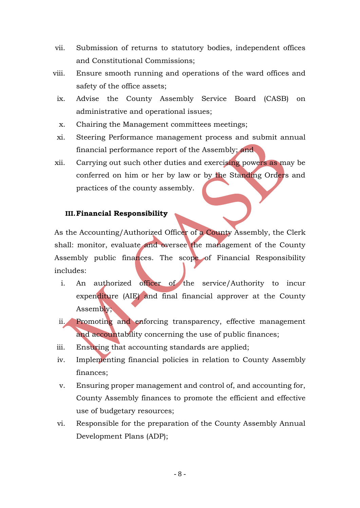- vii. Submission of returns to statutory bodies, independent offices and Constitutional Commissions;
- viii. Ensure smooth running and operations of the ward offices and safety of the office assets;
	- ix. Advise the County Assembly Service Board (CASB) on administrative and operational issues;
	- x. Chairing the Management committees meetings;
	- xi. Steering Performance management process and submit annual financial performance report of the Assembly; and
- xii. Carrying out such other duties and exercising powers as may be conferred on him or her by law or by the Standing Orders and practices of the county assembly.

### **III.Financial Responsibility**

As the Accounting/Authorized Officer of a County Assembly, the Clerk shall: monitor, evaluate and oversee the management of the County Assembly public finances. The scope of Financial Responsibility includes:

- i. An authorized officer of the service/Authority to incur expenditure (AIE) and final financial approver at the County Assembly;
- ii. Promoting and enforcing transparency, effective management and accountability concerning the use of public finances;
- iii. Ensuring that accounting standards are applied;
- iv. Implementing financial policies in relation to County Assembly finances;
- v. Ensuring proper management and control of, and accounting for, County Assembly finances to promote the efficient and effective use of budgetary resources;
- vi. Responsible for the preparation of the County Assembly Annual Development Plans (ADP);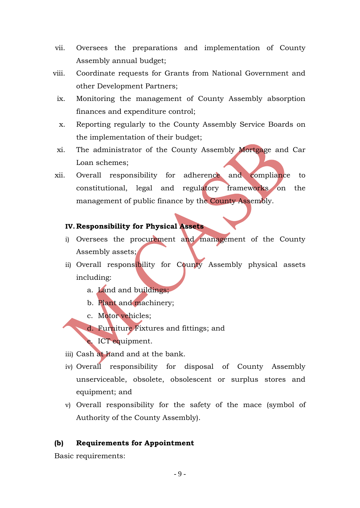- vii. Oversees the preparations and implementation of County Assembly annual budget;
- viii. Coordinate requests for Grants from National Government and other Development Partners;
	- ix. Monitoring the management of County Assembly absorption finances and expenditure control;
	- x. Reporting regularly to the County Assembly Service Boards on the implementation of their budget;
	- xi. The administrator of the County Assembly Mortgage and Car Loan schemes;
- xii. Overall responsibility for adherence and compliance to constitutional, legal and regulatory frameworks on the management of public finance by the County Assembly.

#### **IV.Responsibility for Physical Assets**

- i) Oversees the procurement and management of the County Assembly assets;
- ii) Overall responsibility for County Assembly physical assets including:
	- a. Land and buildings;
	- b. Plant and machinery;
	- c. Motor vehicles;
	- d. Furniture Fixtures and fittings; and
	- e. ICT equipment.
- iii) Cash at hand and at the bank.
- iv) Overall responsibility for disposal of County Assembly unserviceable, obsolete, obsolescent or surplus stores and equipment; and
- v) Overall responsibility for the safety of the mace (symbol of Authority of the County Assembly).

#### **(b) Requirements for Appointment**

Basic requirements: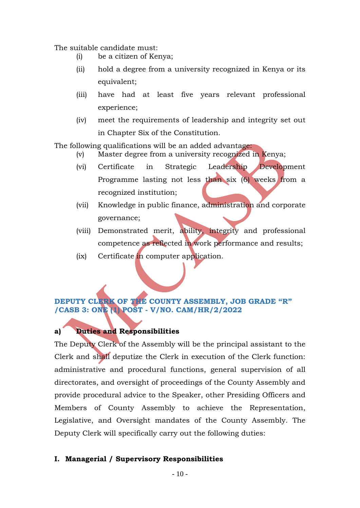The suitable candidate must:

- (i) be a citizen of Kenya;
- (ii) hold a degree from a university recognized in Kenya or its equivalent;
- (iii) have had at least five years relevant professional experience;
- (iv) meet the requirements of leadership and integrity set out in Chapter Six of the Constitution.

The following qualifications will be an added advantage:

- (v) Master degree from a university recognized in Kenya;
- (vi) Certificate in Strategic Leadership Development Programme lasting not less than six (6) weeks from a recognized institution;
- (vii) Knowledge in public finance, administration and corporate governance;
- (viii) Demonstrated merit, ability, integrity and professional competence as reflected in work performance and results;
- (ix) Certificate in computer application.

## <span id="page-9-0"></span>**DEPUTY CLERK OF THE COUNTY ASSEMBLY, JOB GRADE "R" /CASB 3: ONE (1) POST - V/NO. CAM/HR/2/2022**

## **a) Duties and Responsibilities**

The Deputy Clerk of the Assembly will be the principal assistant to the Clerk and shall deputize the Clerk in execution of the Clerk function: administrative and procedural functions, general supervision of all directorates, and oversight of proceedings of the County Assembly and provide procedural advice to the Speaker, other Presiding Officers and Members of County Assembly to achieve the Representation, Legislative, and Oversight mandates of the County Assembly. The Deputy Clerk will specifically carry out the following duties:

## **I. Managerial / Supervisory Responsibilities**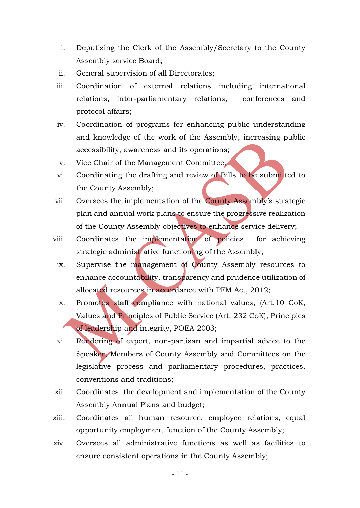- i. Deputizing the Clerk of the Assembly/Secretary to the County Assembly service Board;
- ii. General supervision of all Directorates;
- iii. Coordination of external relations including international relations, inter-parliamentary relations, conferences and protocol affairs;
- iv. Coordination of programs for enhancing public understanding and knowledge of the work of the Assembly, increasing public accessibility, awareness and its operations;
- v. Vice Chair of the Management Committee;
- vi. Coordinating the drafting and review of Bills to be submitted to the County Assembly;
- vii. Oversees the implementation of the County Assembly's strategic plan and annual work plans to ensure the progressive realization of the County Assembly objectives to enhance service delivery;
- viii. Coordinates the implementation of policies for achieving strategic administrative functioning of the Assembly;
	- ix. Supervise the management of County Assembly resources to enhance accountability, transparency and prudence utilization of allocated resources in accordance with PFM Act, 2012;
	- x. Promotes staff compliance with national values, (Art.10 CoK, Values and Principles of Public Service (Art. 232 CoK), Principles of leadership and integrity, POEA 2003;
	- xi. Rendering of expert, non-partisan and impartial advice to the Speaker, Members of County Assembly and Committees on the legislative process and parliamentary procedures, practices, conventions and traditions;
- xii. Coordinates the development and implementation of the County Assembly Annual Plans and budget;
- xiii. Coordinates all human resource, employee relations, equal opportunity employment function of the County Assembly;
- xiv. Oversees all administrative functions as well as facilities to ensure consistent operations in the County Assembly;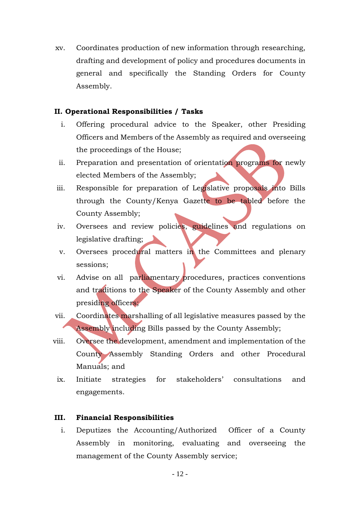xv. Coordinates production of new information through researching, drafting and development of policy and procedures documents in general and specifically the Standing Orders for County Assembly.

#### **II. Operational Responsibilities / Tasks**

- i. Offering procedural advice to the Speaker, other Presiding Officers and Members of the Assembly as required and overseeing the proceedings of the House;
- ii. Preparation and presentation of orientation programs for newly elected Members of the Assembly;
- iii. Responsible for preparation of Legislative proposals into Bills through the County/Kenya Gazette to be tabled before the County Assembly;
- iv. Oversees and review policies, guidelines and regulations on legislative drafting;
- v. Oversees procedural matters in the Committees and plenary sessions;
- vi. Advise on all parliamentary procedures, practices conventions and traditions to the Speaker of the County Assembly and other presiding officers;
- vii. Coordinates marshalling of all legislative measures passed by the Assembly including Bills passed by the County Assembly;
- viii. Oversee the development, amendment and implementation of the County Assembly Standing Orders and other Procedural Manuals; and
- ix. Initiate strategies for stakeholders' consultations and engagements.

#### **III. Financial Responsibilities**

i. Deputizes the Accounting/Authorized Officer of a County Assembly in monitoring, evaluating and overseeing the management of the County Assembly service;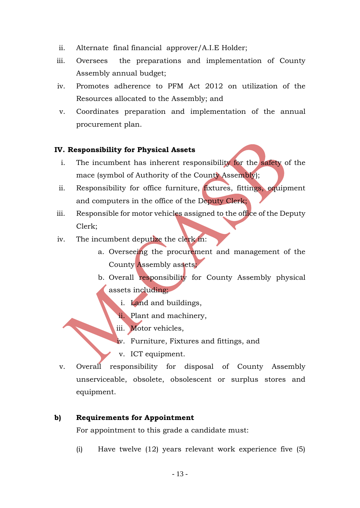- ii. Alternate final financial approver/A.I.E Holder;
- iii. Oversees the preparations and implementation of County Assembly annual budget;
- iv. Promotes adherence to PFM Act 2012 on utilization of the Resources allocated to the Assembly; and
- v. Coordinates preparation and implementation of the annual procurement plan.

### **IV. Responsibility for Physical Assets**

- i. The incumbent has inherent responsibility for the safety of the mace (symbol of Authority of the County Assembly);
- ii. Responsibility for office furniture, fixtures, fittings, equipment and computers in the office of the Deputy Clerk;
- iii. Responsible for motor vehicles assigned to the office of the Deputy Clerk;
- iv. The incumbent deputize the clerk in:
	- a. Overseeing the procurement and management of the County Assembly assets;
	- b. Overall responsibility for County Assembly physical assets including;
		- i. Land and buildings,
		- ii. Plant and machinery,
		- iii. Motor vehicles,
		- iv. Furniture, Fixtures and fittings, and
		- v. ICT equipment.
- v. Overall responsibility for disposal of County Assembly unserviceable, obsolete, obsolescent or surplus stores and equipment.

#### **b) Requirements for Appointment**

For appointment to this grade a candidate must:

(i) Have twelve (12) years relevant work experience five (5)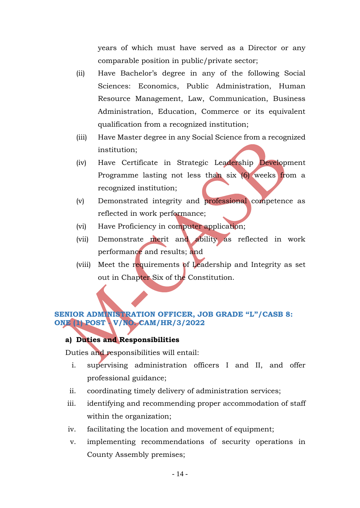years of which must have served as a Director or any comparable position in public/private sector;

- (ii) Have Bachelor's degree in any of the following Social Sciences: Economics, Public Administration, Human Resource Management, Law, Communication, Business Administration, Education, Commerce or its equivalent qualification from a recognized institution;
- (iii) Have Master degree in any Social Science from a recognized institution;
- (iv) Have Certificate in Strategic Leadership Development Programme lasting not less than six (6) weeks from a recognized institution;
- (v) Demonstrated integrity and professional competence as reflected in work performance;
- (vi) Have Proficiency in computer application;
- (vii) Demonstrate merit and ability as reflected in work performance and results; and
- (viii) Meet the requirements of Leadership and Integrity as set out in Chapter Six of the Constitution.

## <span id="page-13-0"></span>**SENIOR ADMINISTRATION OFFICER, JOB GRADE "L"/CASB 8: ONE (1) POST - V/NO. CAM/HR/3/2022**

#### **a) Duties and Responsibilities**

Duties and responsibilities will entail:

- i. supervising administration officers I and II, and offer professional guidance;
- ii. coordinating timely delivery of administration services;
- iii. identifying and recommending proper accommodation of staff within the organization;
- iv. facilitating the location and movement of equipment;
- v. implementing recommendations of security operations in County Assembly premises;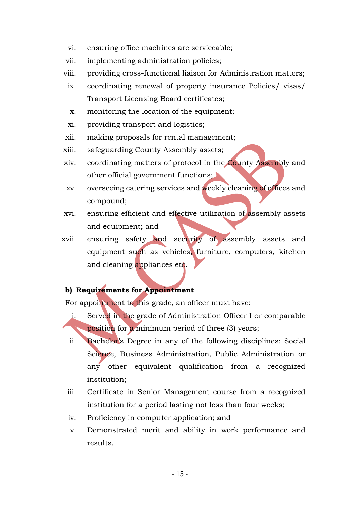- vi. ensuring office machines are serviceable;
- vii. implementing administration policies;
- viii. providing cross-functional liaison for Administration matters;
- ix. coordinating renewal of property insurance Policies/ visas/ Transport Licensing Board certificates;
- x. monitoring the location of the equipment;
- xi. providing transport and logistics;
- xii. making proposals for rental management;
- xiii. safeguarding County Assembly assets;
- xiv. coordinating matters of protocol in the County Assembly and other official government functions;
- xv. overseeing catering services and weekly cleaning of offices and compound;
- xvi. ensuring efficient and effective utilization of assembly assets and equipment; and
- xvii. ensuring safety and security of assembly assets and equipment such as vehicles, furniture, computers, kitchen and cleaning appliances etc.

### **b) Requirements for Appointment**

For appointment to this grade, an officer must have:

- i. Served in the grade of Administration Officer I or comparable position for a minimum period of three (3) years;
	- ii. Bachelor's Degree in any of the following disciplines: Social Science, Business Administration, Public Administration or any other equivalent qualification from a recognized institution;
- iii. Certificate in Senior Management course from a recognized institution for a period lasting not less than four weeks;
- iv. Proficiency in computer application; and
- v. Demonstrated merit and ability in work performance and results.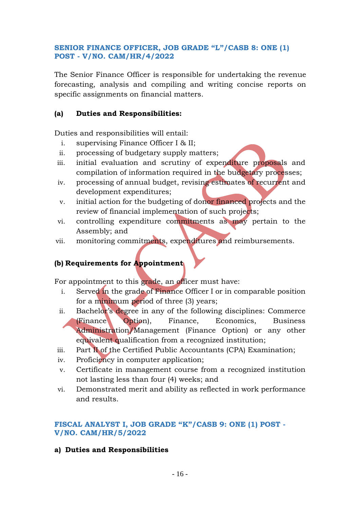## <span id="page-15-0"></span>**SENIOR FINANCE OFFICER, JOB GRADE "L"/CASB 8: ONE (1) POST - V/NO. CAM/HR/4/2022**

The Senior Finance Officer is responsible for undertaking the revenue forecasting, analysis and compiling and writing concise reports on specific assignments on financial matters.

## **(a) Duties and Responsibilities:**

Duties and responsibilities will entail:

- i. supervising Finance Officer I & II;
- ii. processing of budgetary supply matters;
- iii. initial evaluation and scrutiny of expenditure proposals and compilation of information required in the budgetary processes;
- iv. processing of annual budget, revising estimates of recurrent and development expenditures;
- v. initial action for the budgeting of donor financed projects and the review of financial implementation of such projects;
- vi. controlling expenditure commitments as may pertain to the Assembly; and
- vii. monitoring commitments, expenditures and reimbursements.

## **(b) Requirements for Appointment**

For appointment to this grade, an officer must have:

- i. Served in the grade of Finance Officer I or in comparable position for a minimum period of three (3) years;
- ii. Bachelor's degree in any of the following disciplines: Commerce (Finance Option), Finance, Economics, Business Administration/Management (Finance Option) or any other equivalent qualification from a recognized institution;
- iii. Part II of the Certified Public Accountants (CPA) Examination;
- iv. Proficiency in computer application;
- v. Certificate in management course from a recognized institution not lasting less than four (4) weeks; and
- vi. Demonstrated merit and ability as reflected in work performance and results.

## <span id="page-15-1"></span>**FISCAL ANALYST I, JOB GRADE "K"/CASB 9: ONE (1) POST - V/NO. CAM/HR/5/2022**

**a) Duties and Responsibilities**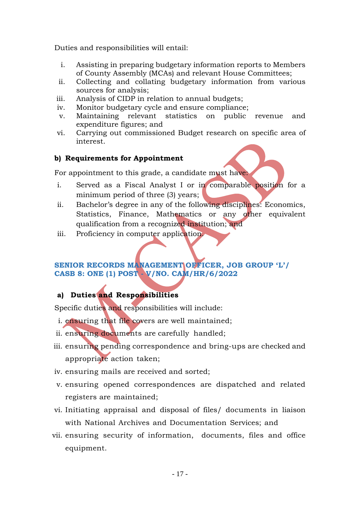Duties and responsibilities will entail:

- i. Assisting in preparing budgetary information reports to Members of County Assembly (MCAs) and relevant House Committees;
- ii. Collecting and collating budgetary information from various sources for analysis;
- iii. Analysis of CIDP in relation to annual budgets;
- iv. Monitor budgetary cycle and ensure compliance;
- v. Maintaining relevant statistics on public revenue and expenditure figures; and
- vi. Carrying out commissioned Budget research on specific area of interest.

## **b) Requirements for Appointment**

For appointment to this grade, a candidate must have:

- i. Served as a Fiscal Analyst I or in comparable position for a minimum period of three (3) years;
- ii. Bachelor's degree in any of the following disciplines: Economics, Statistics, Finance, Mathematics or any other equivalent qualification from a recognized institution; and
- iii. Proficiency in computer application.

## <span id="page-16-0"></span>**SENIOR RECORDS MANAGEMENT OFFICER, JOB GROUP 'L'/ CASB 8: ONE (1) POST - V/NO. CAM/HR/6/2022**

## **a) Duties and Responsibilities**

Specific duties and responsibilities will include:

- i. ensuring that file covers are well maintained;
- ii. ensuring documents are carefully handled;
- iii. ensuring pending correspondence and bring-ups are checked and appropriate action taken;
- iv. ensuring mails are received and sorted;
- v. ensuring opened correspondences are dispatched and related registers are maintained;
- vi. Initiating appraisal and disposal of files/ documents in liaison with National Archives and Documentation Services; and
- vii. ensuring security of information, documents, files and office equipment.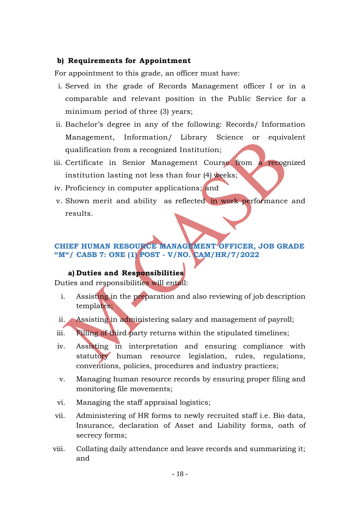#### **b) Requirements for Appointment**

For appointment to this grade, an officer must have:

- i. Served in the grade of Records Management officer I or in a comparable and relevant position in the Public Service for a minimum period of three (3) years;
- ii. Bachelor's degree in any of the following: Records/ Information Management, Information/ Library Science or equivalent qualification from a recognized Institution;
- iii. Certificate in Senior Management Course from a recognized institution lasting not less than four (4) weeks;
- iv. Proficiency in computer applications; and
- v. Shown merit and ability as reflected in work performance and results.

## <span id="page-17-0"></span>**CHIEF HUMAN RESOURCE MANAGEMENT OFFICER, JOB GRADE "M"/ CASB 7: ONE (1) POST - V/NO. CAM/HR/7/2022**

#### **a) Duties and Responsibilities**

Duties and responsibilities will entail:

- i. Assisting in the preparation and also reviewing of job description templates;
- ii. Assisting in administering salary and management of payroll;
- iii. Filling of third party returns within the stipulated timelines;
- iv. Assisting in interpretation and ensuring compliance with statutory human resource legislation, rules, regulations, conventions, policies, procedures and industry practices;
- v. Managing human resource records by ensuring proper filing and monitoring file movements;
- vi. Managing the staff appraisal logistics;
- vii. Administering of HR forms to newly recruited staff i.e. Bio data, Insurance, declaration of Asset and Liability forms, oath of secrecy forms;
- viii. Collating daily attendance and leave records and summarizing it; and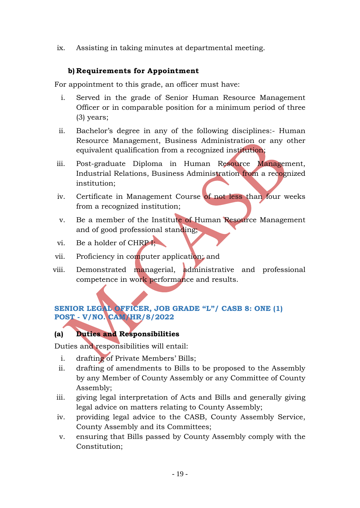ix. Assisting in taking minutes at departmental meeting.

## **b) Requirements for Appointment**

For appointment to this grade, an officer must have:

- i. Served in the grade of Senior Human Resource Management Officer or in comparable position for a minimum period of three (3) years;
- ii. Bachelor's degree in any of the following disciplines:- Human Resource Management, Business Administration or any other equivalent qualification from a recognized institution;
- iii. Post-graduate Diploma in Human Resource Management, Industrial Relations, Business Administration from a recognized institution;
- iv. Certificate in Management Course of not less than four weeks from a recognized institution;
- v. Be a member of the Institute of Human Resource Management and of good professional standing;
- vi. Be a holder of CHRP I;
- vii. Proficiency in computer application; and
- viii. Demonstrated managerial, administrative and professional competence in work performance and results.

## <span id="page-18-0"></span>**SENIOR LEGAL OFFICER, JOB GRADE "L"/ CASB 8: ONE (1) POST - V/NO. CAM/HR/8/2022**

## **(a) Duties and Responsibilities**

Duties and responsibilities will entail:

- i. drafting of Private Members' Bills;
- ii. drafting of amendments to Bills to be proposed to the Assembly by any Member of County Assembly or any Committee of County Assembly;
- iii. giving legal interpretation of Acts and Bills and generally giving legal advice on matters relating to County Assembly;
- iv. providing legal advice to the CASB, County Assembly Service, County Assembly and its Committees;
- v. ensuring that Bills passed by County Assembly comply with the Constitution;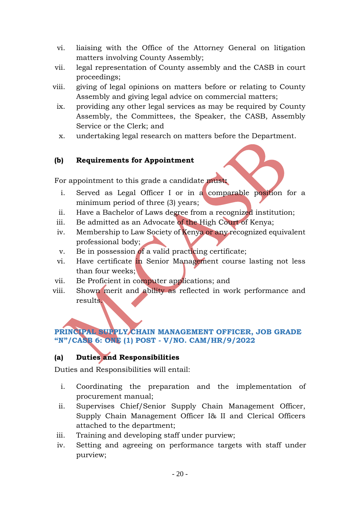- vi. liaising with the Office of the Attorney General on litigation matters involving County Assembly;
- vii. legal representation of County assembly and the CASB in court proceedings;
- viii. giving of legal opinions on matters before or relating to County Assembly and giving legal advice on commercial matters;
- ix. providing any other legal services as may be required by County Assembly, the Committees, the Speaker, the CASB, Assembly Service or the Clerk; and
- x. undertaking legal research on matters before the Department.

## **(b) Requirements for Appointment**

For appointment to this grade a candidate must**:**

- i. Served as Legal Officer I or in a comparable position for a minimum period of three (3) years;
- ii. Have a Bachelor of Laws degree from a recognized institution;
- iii. Be admitted as an Advocate of the High Court of Kenya;
- iv. Membership to Law Society of Kenya or any recognized equivalent professional body;
- v. Be in possession of a valid practicing certificate;
- vi. Have certificate in Senior Management course lasting not less than four weeks;
- vii. Be Proficient in computer applications; and
- viii. Shown merit and ability as reflected in work performance and results.

## <span id="page-19-0"></span>**PRINCIPAL SUPPLY CHAIN MANAGEMENT OFFICER, JOB GRADE "N"/CASB 6: ONE (1) POST - V/NO. CAM/HR/9/2022**

# **(a) Duties and Responsibilities**

Duties and Responsibilities will entail:

- i. Coordinating the preparation and the implementation of procurement manual;
- ii. Supervises Chief/Senior Supply Chain Management Officer, Supply Chain Management Officer I& II and Clerical Officers attached to the department;
- iii. Training and developing staff under purview;
- iv. Setting and agreeing on performance targets with staff under purview;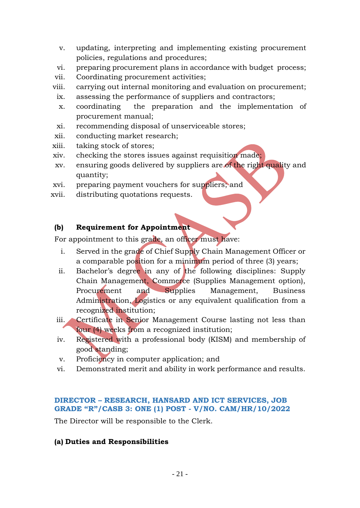- v. updating, interpreting and implementing existing procurement policies, regulations and procedures;
- vi. preparing procurement plans in accordance with budget process;
- vii. Coordinating procurement activities;
- viii. carrying out internal monitoring and evaluation on procurement;
- ix. assessing the performance of suppliers and contractors;
- x. coordinating the preparation and the implementation of procurement manual;
- xi. recommending disposal of unserviceable stores;
- xii. conducting market research;
- xiii. taking stock of stores;
- xiv. checking the stores issues against requisition made;
- xv. ensuring goods delivered by suppliers are of the right quality and quantity;
- xvi. preparing payment vouchers for suppliers; and
- xvii. distributing quotations requests.

## **(b) Requirement for Appointment**

For appointment to this grade, an officer must have:

- i. Served in the grade of Chief Supply Chain Management Officer or a comparable position for a minimum period of three (3) years;
- ii. Bachelor's degree in any of the following disciplines: Supply Chain Management, Commerce (Supplies Management option), Procurement and Supplies Management, Business Administration, Logistics or any equivalent qualification from a recognized institution;
- iii. Certificate in Senior Management Course lasting not less than four (4) weeks from a recognized institution;
- iv. Registered with a professional body (KISM) and membership of good standing;
- v. Proficiency in computer application; and
- vi. Demonstrated merit and ability in work performance and results.

## <span id="page-20-0"></span>**DIRECTOR – RESEARCH, HANSARD AND ICT SERVICES, JOB GRADE "R"/CASB 3: ONE (1) POST - V/NO. CAM/HR/10/2022**

The Director will be responsible to the Clerk.

## **(a) Duties and Responsibilities**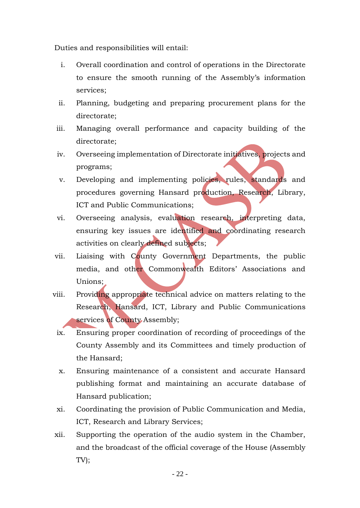Duties and responsibilities will entail:

- i. Overall coordination and control of operations in the Directorate to ensure the smooth running of the Assembly's information services;
- ii. Planning, budgeting and preparing procurement plans for the directorate;
- iii. Managing overall performance and capacity building of the directorate;
- iv. Overseeing implementation of Directorate initiatives, projects and programs;
- v. Developing and implementing policies, rules, standards and procedures governing Hansard production, Research, Library, ICT and Public Communications;
- vi. Overseeing analysis, evaluation research, interpreting data, ensuring key issues are identified and coordinating research activities on clearly defined subjects;
- vii. Liaising with County Government Departments, the public media, and other Commonwealth Editors' Associations and Unions;
- viii. Providing appropriate technical advice on matters relating to the Research, Hansard, ICT, Library and Public Communications services of County Assembly;
- ix. Ensuring proper coordination of recording of proceedings of the County Assembly and its Committees and timely production of the Hansard;
- x. Ensuring maintenance of a consistent and accurate Hansard publishing format and maintaining an accurate database of Hansard publication;
- xi. Coordinating the provision of Public Communication and Media, ICT, Research and Library Services;
- xii. Supporting the operation of the audio system in the Chamber, and the broadcast of the official coverage of the House (Assembly TV);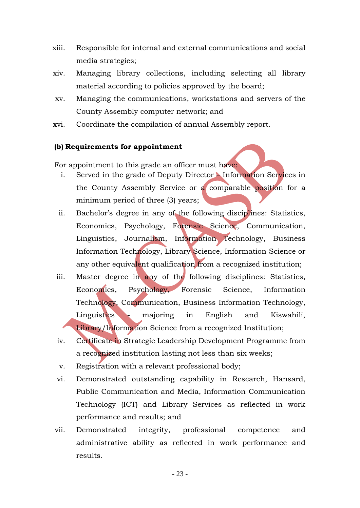- xiii. Responsible for internal and external communications and social media strategies;
- xiv. Managing library collections, including selecting all library material according to policies approved by the board;
- xv. Managing the communications, workstations and servers of the County Assembly computer network; and
- xvi. Coordinate the compilation of annual Assembly report.

### **(b) Requirements for appointment**

For appointment to this grade an officer must have:

- i. Served in the grade of Deputy Director Information Services in the County Assembly Service or a comparable position for a minimum period of three (3) years;
- ii. Bachelor's degree in any of the following disciplines: Statistics, Economics, Psychology, Forensic Science, Communication, Linguistics, Journalism, Information Technology, Business Information Technology, Library Science, Information Science or any other equivalent qualification from a recognized institution;
- iii. Master degree in any of the following disciplines: Statistics, Economics, Psychology, Forensic Science, Information Technology, Communication, Business Information Technology, Linguistics - majoring in English and Kiswahili, Library/Information Science from a recognized Institution;
- iv. Certificate in Strategic Leadership Development Programme from a recognized institution lasting not less than six weeks;
- v. Registration with a relevant professional body;
- vi. Demonstrated outstanding capability in Research, Hansard, Public Communication and Media, Information Communication Technology (ICT) and Library Services as reflected in work performance and results; and
- vii. Demonstrated integrity, professional competence and administrative ability as reflected in work performance and results.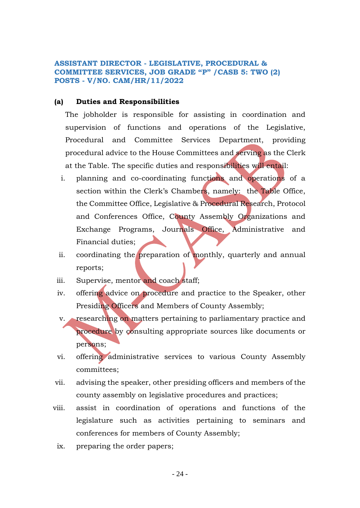#### <span id="page-23-0"></span>**ASSISTANT DIRECTOR - LEGISLATIVE, PROCEDURAL & COMMITTEE SERVICES, JOB GRADE "P" /CASB 5: TWO (2) POSTS - V/NO. CAM/HR/11/2022**

#### **(a) Duties and Responsibilities**

The jobholder is responsible for assisting in coordination and supervision of functions and operations of the Legislative, Procedural and Committee Services Department, providing procedural advice to the House Committees and serving as the Clerk at the Table. The specific duties and responsibilities will entail:

- i. planning and co-coordinating functions and operations of a section within the Clerk's Chambers, namely: the Table Office, the Committee Office, Legislative & Procedural Research, Protocol and Conferences Office, County Assembly Organizations and Exchange Programs, Journals Office, Administrative and Financial duties;
- ii. coordinating the preparation of monthly, quarterly and annual reports;
- iii. Supervise, mentor and coach staff;
- iv. offering advice on procedure and practice to the Speaker, other Presiding Officers and Members of County Assembly;
- v. researching on matters pertaining to parliamentary practice and procedure by consulting appropriate sources like documents or persons;
- vi. offering administrative services to various County Assembly committees;
- vii. advising the speaker, other presiding officers and members of the county assembly on legislative procedures and practices;
- viii. assist in coordination of operations and functions of the legislature such as activities pertaining to seminars and conferences for members of County Assembly;
	- ix. preparing the order papers;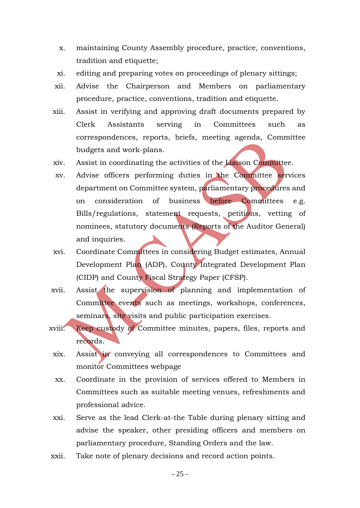- x. maintaining County Assembly procedure, practice, conventions, tradition and etiquette;
- xi. editing and preparing votes on proceedings of plenary sittings;
- xii. Advise the Chairperson and Members on parliamentary procedure, practice, conventions, tradition and etiquette.
- xiii. Assist in verifying and approving draft documents prepared by Clerk Assistants serving in Committees such as correspondences, reports, briefs, meeting agenda, Committee budgets and work-plans.
- xiv. Assist in coordinating the activities of the Liaison Committee.
- xv. Advise officers performing duties in the Committee services department on Committee system, parliamentary procedures and on consideration of business before Committees e.g. Bills/regulations, statement requests, petitions, vetting of nominees, statutory documents (Reports of the Auditor General) and inquiries.
- xvi. Coordinate Committees in considering Budget estimates, Annual Development Plan (ADP), County Integrated Development Plan (CIDP) and County Fiscal Strategy Paper (CFSP).
- xvii. Assist the supervision of planning and implementation of Committee events such as meetings, workshops, conferences, seminars, site visits and public participation exercises.
- xviii. Keep custody of Committee minutes, papers, files, reports and records.
- xix. Assist in conveying all correspondences to Committees and monitor Committees webpage
- xx. Coordinate in the provision of services offered to Members in Committees such as suitable meeting venues, refreshments and professional advice.
- xxi. Serve as the lead Clerk-at-the Table during plenary sitting and advise the speaker, other presiding officers and members on parliamentary procedure, Standing Orders and the law.
- xxii. Take note of plenary decisions and record action points.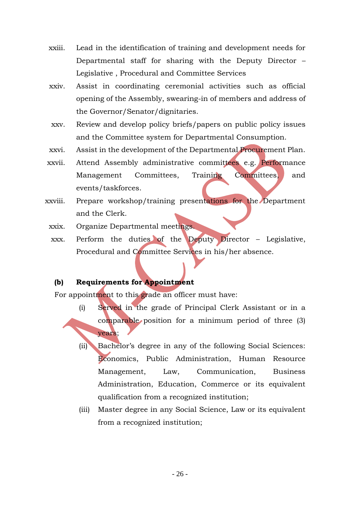- xxiii. Lead in the identification of training and development needs for Departmental staff for sharing with the Deputy Director – Legislative , Procedural and Committee Services
- xxiv. Assist in coordinating ceremonial activities such as official opening of the Assembly, swearing-in of members and address of the Governor/Senator/dignitaries.
- xxv. Review and develop policy briefs/papers on public policy issues and the Committee system for Departmental Consumption.
- xxvi. Assist in the development of the Departmental Procurement Plan.
- xxvii. Attend Assembly administrative committees e.g. Performance Management Committees, Training Committees, and events/taskforces.
- xxviii. Prepare workshop/training presentations for the Department and the Clerk.
	- xxix. Organize Departmental meetings.
	- xxx. Perform the duties of the Deputy Director Legislative, Procedural and Committee Services in his/her absence.

## **(b) Requirements for Appointment**

For appointment to this grade an officer must have:

- (i) Served in the grade of Principal Clerk Assistant or in a comparable position for a minimum period of three (3) years;
	- (ii) Bachelor's degree in any of the following Social Sciences: Economics, Public Administration, Human Resource Management, Law, Communication, Business Administration, Education, Commerce or its equivalent qualification from a recognized institution;
	- (iii) Master degree in any Social Science, Law or its equivalent from a recognized institution;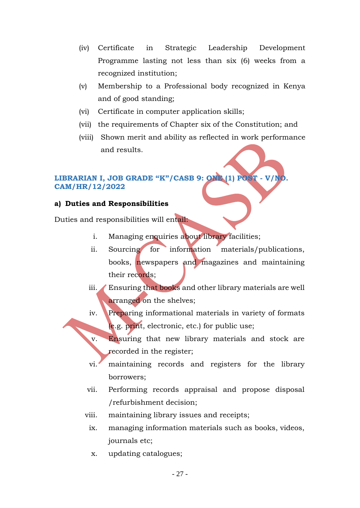- (iv) Certificate in Strategic Leadership Development Programme lasting not less than six (6) weeks from a recognized institution;
- (v) Membership to a Professional body recognized in Kenya and of good standing;
- (vi) Certificate in computer application skills;
- (vii) the requirements of Chapter six of the Constitution; and
- (viii) Shown merit and ability as reflected in work performance and results.

## <span id="page-26-0"></span>**LIBRARIAN I, JOB GRADE "K"/CASB 9: ONE (1) POST - V/NO. CAM/HR/12/2022**

#### **a) Duties and Responsibilities**

Duties and responsibilities will entail:

- i. Managing enquiries about library facilities;
- ii. Sourcing for information materials/publications, books, newspapers and magazines and maintaining their records;
- iii. Ensuring that books and other library materials are well arranged on the shelves;
- iv. Preparing informational materials in variety of formats (e.g. print, electronic, etc.) for public use;
- v. Ensuring that new library materials and stock are recorded in the register;
- vi. maintaining records and registers for the library borrowers;
- vii. Performing records appraisal and propose disposal /refurbishment decision;
- viii. maintaining library issues and receipts;
- ix. managing information materials such as books, videos, journals etc;
- x. updating catalogues;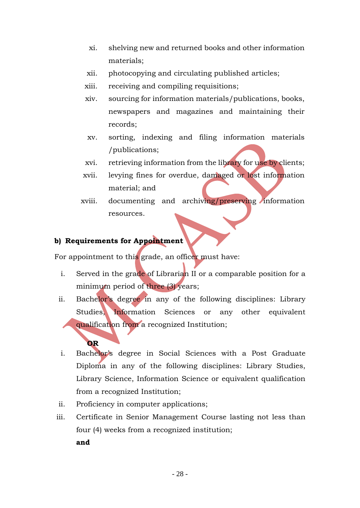- xi. shelving new and returned books and other information materials;
- xii. photocopying and circulating published articles;
- xiii. receiving and compiling requisitions;
- xiv. sourcing for information materials/publications, books, newspapers and magazines and maintaining their records;
- xv. sorting, indexing and filing information materials /publications;
- xvi. retrieving information from the library for use by clients;
- xvii. levying fines for overdue, damaged or lost information material; and
- xviii. documenting and archiving/preserving information resources.

### **b) Requirements for Appointment**

For appointment to this grade, an officer must have:

- i. Served in the grade of Librarian II or a comparable position for a minimum period of three (3) years;
- ii. Bachelor's degree in any of the following disciplines: Library Studies, Information Sciences or any other equivalent qualification from a recognized Institution;

## **OR**

- i. Bachelor's degree in Social Sciences with a Post Graduate Diploma in any of the following disciplines: Library Studies, Library Science, Information Science or equivalent qualification from a recognized Institution;
- ii. Proficiency in computer applications;
- iii. Certificate in Senior Management Course lasting not less than four (4) weeks from a recognized institution;
	- **and**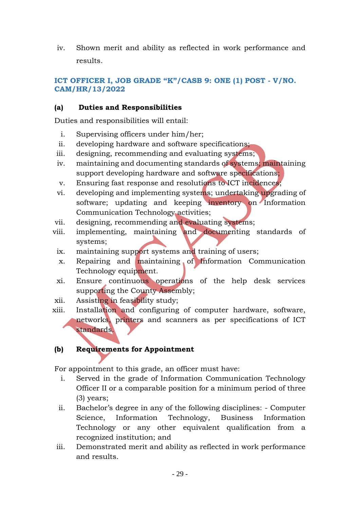iv. Shown merit and ability as reflected in work performance and results.

## <span id="page-28-0"></span>**ICT OFFICER I, JOB GRADE "K"/CASB 9: ONE (1) POST - V/NO. CAM/HR/13/2022**

## **(a) Duties and Responsibilities**

Duties and responsibilities will entail:

- i. Supervising officers under him/her;
- ii. developing hardware and software specifications;
- iii. designing, recommending and evaluating systems;
- iv. maintaining and documenting standards of systems; maintaining support developing hardware and software specifications;
- v. Ensuring fast response and resolutions to ICT incidences;
- vi. developing and implementing systems; undertaking upgrading of software; updating and keeping inventory on Information Communication Technology activities;
- vii. designing, recommending and evaluating systems;
- viii. implementing, maintaining and documenting standards of systems;
	- ix. maintaining support systems and training of users;
	- x. Repairing and maintaining of Information Communication Technology equipment.
- xi. Ensure continuous operations of the help desk services supporting the County Assembly;
- xii. Assisting in feasibility study;
- xiii. Installation and configuring of computer hardware, software, networks, printers and scanners as per specifications of ICT standards.

## **(b) Requirements for Appointment**

For appointment to this grade, an officer must have:

- i. Served in the grade of Information Communication Technology Officer II or a comparable position for a minimum period of three (3) years;
- ii. Bachelor's degree in any of the following disciplines: Computer Science, Information Technology, Business Information Technology or any other equivalent qualification from a recognized institution; and
- iii. Demonstrated merit and ability as reflected in work performance and results.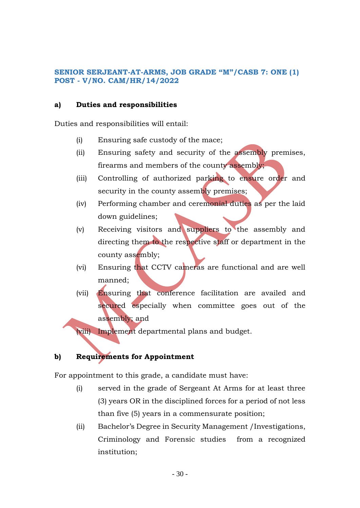### <span id="page-29-0"></span>**SENIOR SERJEANT-AT-ARMS, JOB GRADE "M"/CASB 7: ONE (1) POST - V/NO. CAM/HR/14/2022**

### **a) Duties and responsibilities**

Duties and responsibilities will entail:

- (i) Ensuring safe custody of the mace;
- (ii) Ensuring safety and security of the assembly premises, firearms and members of the county assembly;
- (iii) Controlling of authorized parking to ensure order and security in the county assembly premises;
- (iv) Performing chamber and ceremonial duties as per the laid down guidelines;
- (v) Receiving visitors and suppliers to the assembly and directing them to the respective staff or department in the county assembly;
- (vi) Ensuring that CCTV cameras are functional and are well manned;
- (vii) Ensuring that conference facilitation are availed and secured especially when committee goes out of the assembly; and

(viii) Implement departmental plans and budget.

## **b) Requirements for Appointment**

For appointment to this grade, a candidate must have:

- (i) served in the grade of Sergeant At Arms for at least three (3) years OR in the disciplined forces for a period of not less than five (5) years in a commensurate position;
- (ii) Bachelor's Degree in Security Management /Investigations, Criminology and Forensic studies from a recognized institution;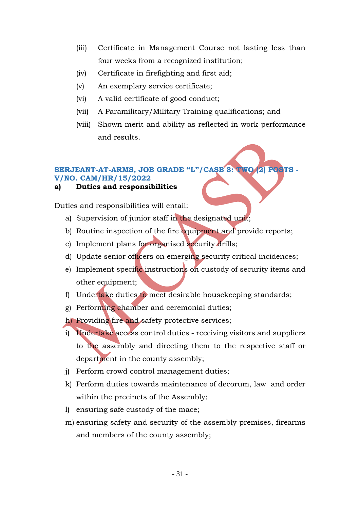- (iii) Certificate in Management Course not lasting less than four weeks from a recognized institution;
- (iv) Certificate in firefighting and first aid;
- (v) An exemplary service certificate;
- (vi) A valid certificate of good conduct;
- (vii) A Paramilitary/Military Training qualifications; and
- (viii) Shown merit and ability as reflected in work performance and results.

## <span id="page-30-0"></span>**SERJEANT-AT-ARMS, JOB GRADE "L"/CASB 8: TWO (2) POSTS -**

#### **V/NO. CAM/HR/15/2022**

**a) Duties and responsibilities**

Duties and responsibilities will entail:

- a) Supervision of junior staff in the designated unit;
- b) Routine inspection of the fire equipment and provide reports;
- c) Implement plans for organised security drills;
- d) Update senior officers on emerging security critical incidences;
- e) Implement specific instructions on custody of security items and other equipment;
- f) Undertake duties to meet desirable housekeeping standards;
- g) Performing chamber and ceremonial duties;

h) Providing fire and safety protective services;

- i) Undertake access control duties receiving visitors and suppliers to the assembly and directing them to the respective staff or department in the county assembly;
- j) Perform crowd control management duties;
- k) Perform duties towards maintenance of decorum, law and order within the precincts of the Assembly;
- l) ensuring safe custody of the mace;
- m) ensuring safety and security of the assembly premises, firearms and members of the county assembly;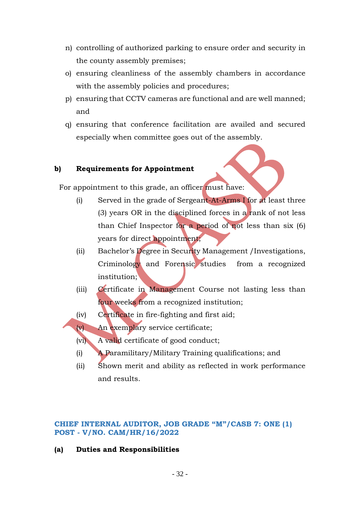- n) controlling of authorized parking to ensure order and security in the county assembly premises;
- o) ensuring cleanliness of the assembly chambers in accordance with the assembly policies and procedures;
- p) ensuring that CCTV cameras are functional and are well manned; and
- q) ensuring that conference facilitation are availed and secured especially when committee goes out of the assembly.

## **b) Requirements for Appointment**

For appointment to this grade, an officer must have:

- (i) Served in the grade of Sergeant-At-Arms I for at least three (3) years OR in the disciplined forces in a rank of not less than Chief Inspector for a period of not less than six (6) years for direct appointment;
- (ii) Bachelor's Degree in Security Management /Investigations, Criminology and Forensic studies from a recognized institution;
- (iii) Certificate in Management Course not lasting less than four weeks from a recognized institution;
- (iv) Certificate in fire-fighting and first aid;

(v) An exemplary service certificate;

(vi) A valid certificate of good conduct;

- (i) A Paramilitary/Military Training qualifications; and
- (ii) Shown merit and ability as reflected in work performance and results.

### <span id="page-31-0"></span>**CHIEF INTERNAL AUDITOR, JOB GRADE "M"/CASB 7: ONE (1) POST - V/NO. CAM/HR/16/2022**

**(a) Duties and Responsibilities**